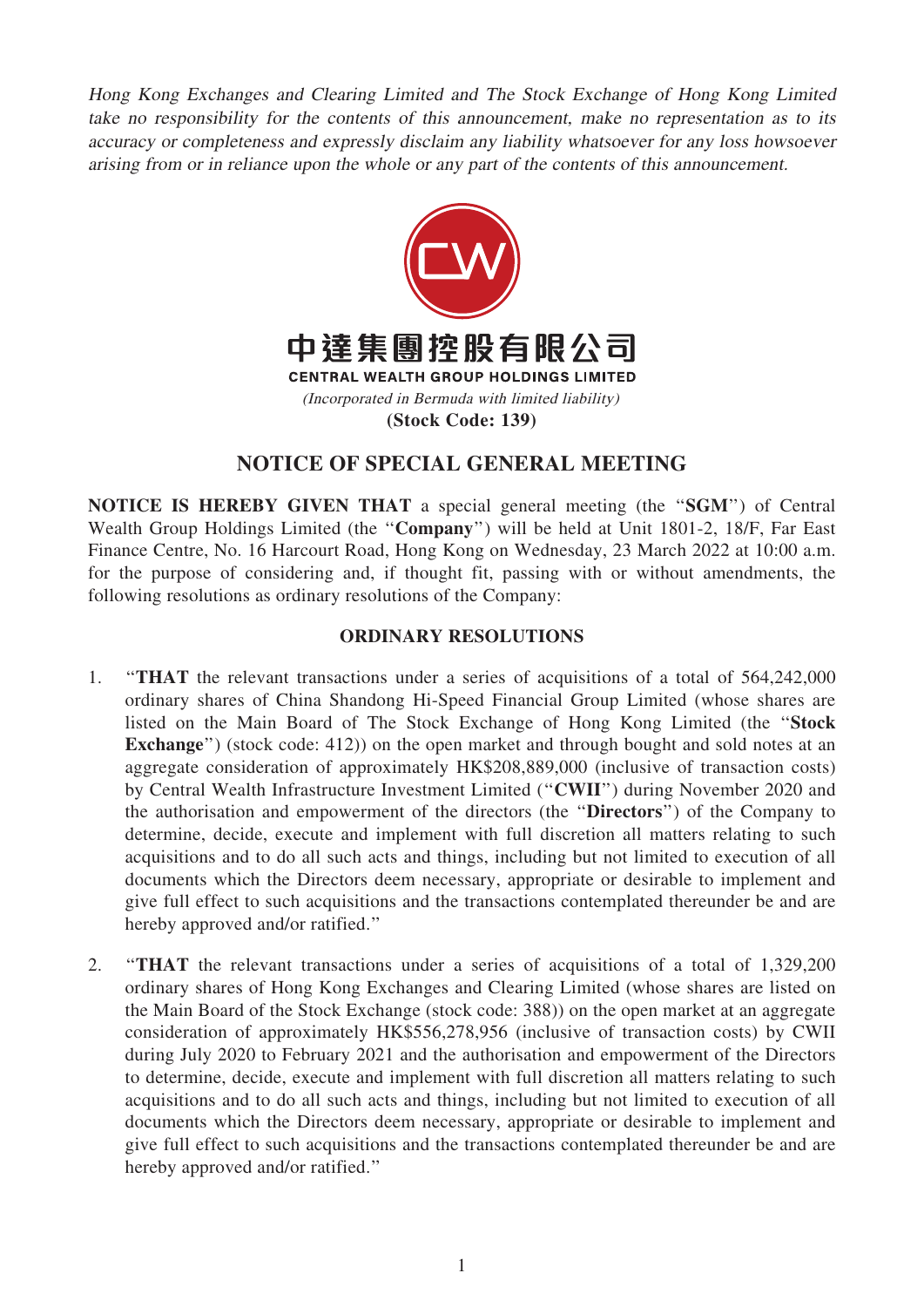Hong Kong Exchanges and Clearing Limited and The Stock Exchange of Hong Kong Limited take no responsibility for the contents of this announcement, make no representation as to its accuracy or completeness and expressly disclaim any liability whatsoever for any loss howsoever arising from or in reliance upon the whole or any part of the contents of this announcement.



# NOTICE OF SPECIAL GENERAL MEETING

NOTICE IS HEREBY GIVEN THAT a special general meeting (the ''SGM'') of Central Wealth Group Holdings Limited (the "Company") will be held at Unit 1801-2, 18/F, Far East Finance Centre, No. 16 Harcourt Road, Hong Kong on Wednesday, 23 March 2022 at 10:00 a.m. for the purpose of considering and, if thought fit, passing with or without amendments, the following resolutions as ordinary resolutions of the Company:

### ORDINARY RESOLUTIONS

- 1. ''THAT the relevant transactions under a series of acquisitions of a total of 564,242,000 ordinary shares of China Shandong Hi-Speed Financial Group Limited (whose shares are listed on the Main Board of The Stock Exchange of Hong Kong Limited (the ''Stock Exchange") (stock code: 412)) on the open market and through bought and sold notes at an aggregate consideration of approximately HK\$208,889,000 (inclusive of transaction costs) by Central Wealth Infrastructure Investment Limited (''CWII'') during November 2020 and the authorisation and empowerment of the directors (the ''Directors'') of the Company to determine, decide, execute and implement with full discretion all matters relating to such acquisitions and to do all such acts and things, including but not limited to execution of all documents which the Directors deem necessary, appropriate or desirable to implement and give full effect to such acquisitions and the transactions contemplated thereunder be and are hereby approved and/or ratified.''
- 2. ''THAT the relevant transactions under a series of acquisitions of a total of 1,329,200 ordinary shares of Hong Kong Exchanges and Clearing Limited (whose shares are listed on the Main Board of the Stock Exchange (stock code: 388)) on the open market at an aggregate consideration of approximately HK\$556,278,956 (inclusive of transaction costs) by CWII during July 2020 to February 2021 and the authorisation and empowerment of the Directors to determine, decide, execute and implement with full discretion all matters relating to such acquisitions and to do all such acts and things, including but not limited to execution of all documents which the Directors deem necessary, appropriate or desirable to implement and give full effect to such acquisitions and the transactions contemplated thereunder be and are hereby approved and/or ratified.''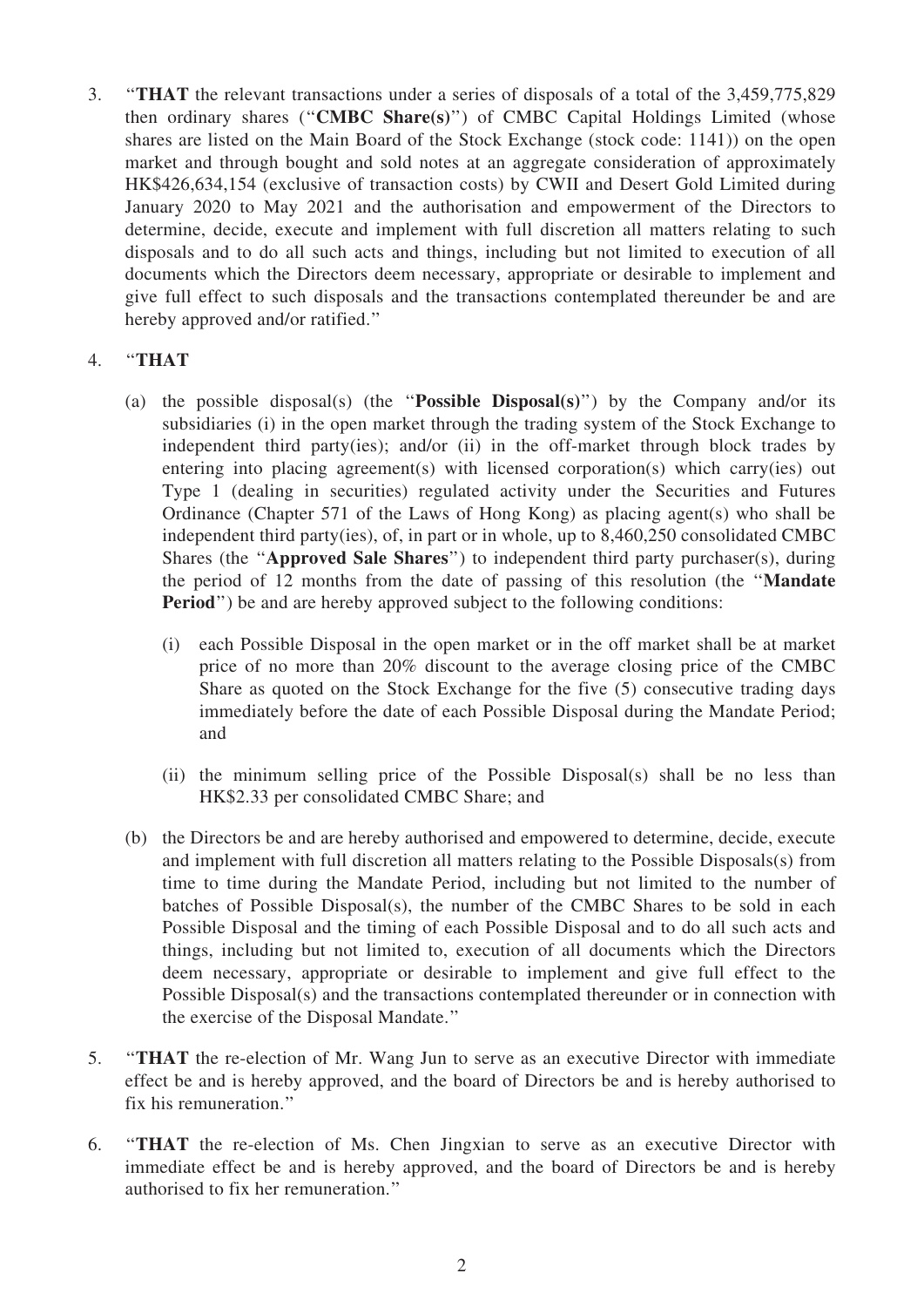3. ''THAT the relevant transactions under a series of disposals of a total of the 3,459,775,829 then ordinary shares (''CMBC Share(s)'') of CMBC Capital Holdings Limited (whose shares are listed on the Main Board of the Stock Exchange (stock code: 1141)) on the open market and through bought and sold notes at an aggregate consideration of approximately HK\$426,634,154 (exclusive of transaction costs) by CWII and Desert Gold Limited during January 2020 to May 2021 and the authorisation and empowerment of the Directors to determine, decide, execute and implement with full discretion all matters relating to such disposals and to do all such acts and things, including but not limited to execution of all documents which the Directors deem necessary, appropriate or desirable to implement and give full effect to such disposals and the transactions contemplated thereunder be and are hereby approved and/or ratified.''

### 4. ''THAT

- (a) the possible disposal(s) (the ''Possible Disposal(s)'') by the Company and/or its subsidiaries (i) in the open market through the trading system of the Stock Exchange to independent third party(ies); and/or (ii) in the off-market through block trades by entering into placing agreement(s) with licensed corporation(s) which carry(ies) out Type 1 (dealing in securities) regulated activity under the Securities and Futures Ordinance (Chapter 571 of the Laws of Hong Kong) as placing agent(s) who shall be independent third party(ies), of, in part or in whole, up to 8,460,250 consolidated CMBC Shares (the ''Approved Sale Shares'') to independent third party purchaser(s), during the period of 12 months from the date of passing of this resolution (the ''Mandate Period") be and are hereby approved subject to the following conditions:
	- (i) each Possible Disposal in the open market or in the off market shall be at market price of no more than 20% discount to the average closing price of the CMBC Share as quoted on the Stock Exchange for the five (5) consecutive trading days immediately before the date of each Possible Disposal during the Mandate Period; and
	- (ii) the minimum selling price of the Possible Disposal(s) shall be no less than HK\$2.33 per consolidated CMBC Share; and
- (b) the Directors be and are hereby authorised and empowered to determine, decide, execute and implement with full discretion all matters relating to the Possible Disposals(s) from time to time during the Mandate Period, including but not limited to the number of batches of Possible Disposal(s), the number of the CMBC Shares to be sold in each Possible Disposal and the timing of each Possible Disposal and to do all such acts and things, including but not limited to, execution of all documents which the Directors deem necessary, appropriate or desirable to implement and give full effect to the Possible Disposal(s) and the transactions contemplated thereunder or in connection with the exercise of the Disposal Mandate.''
- 5. ''THAT the re-election of Mr. Wang Jun to serve as an executive Director with immediate effect be and is hereby approved, and the board of Directors be and is hereby authorised to fix his remuneration.''
- 6. ''THAT the re-election of Ms. Chen Jingxian to serve as an executive Director with immediate effect be and is hereby approved, and the board of Directors be and is hereby authorised to fix her remuneration.''